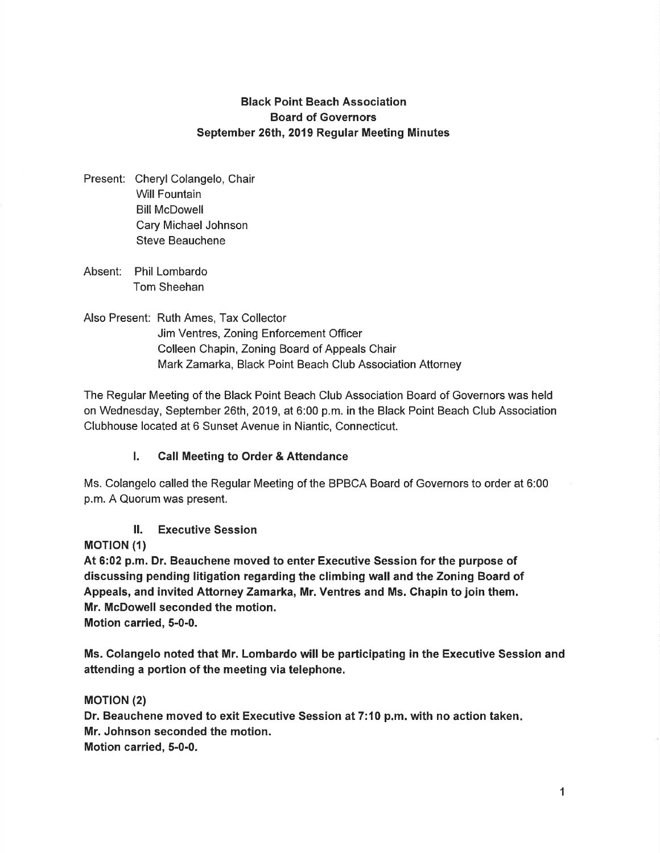# Black Point Beach Association Board of Governors September 26th, 2019 Regular Meeting Minutes

- Present: Cheryl Colangelo, Chair Will Fountain Bill McDowell Cary Michael Johnson Steve Beauchene
- Absent: Phil Lombardo Tom Sheehan
- Also Present: Ruth Ames, Tax Collector Jim Ventres, Zoning Enforcement Officer Colleen Chapin, Zoning Board of Appeals Chair Mark Zamarka, Black Point Beach Club Association Attorney

The Regular Meeting of the Black Point Beach Club Association Board of Governors was held on Wednesday, September 26th, 2019, at 6:00 p.m. in the Black Point Beach Club Association Clubhouse located at 6 Sunset Avenue in Niantic, Connecticut.

# l. Call Meeting to Order & Attendance

Ms. Colangelo called the Regular Meeting of the BPBCA Board of Governors to order at 6:00 p.m.A Quorum was present.

#### ll. Executive Session

**MOTION (1)** 

At 6:02 p.m. Dr. Beauchene moved to enter Executive Session for the purpose of discussing pending litigation regarding the climbing wall and the Zoning Board of Appeals, and invited Attorney Zamarka, Mr. Ventres and Ms. Chapin to join them. Mr. McDowell seconded the motion. Motion carried, 5-0-0.

Ms. Colangelo noted that Mr. Lombardo will be participating in the Executive Session and attending a portion of the meeting via telephone.

#### **MOTION (2)**

Dr. Beauchene moved to exit Executive Session at 7:10 p.m. with no action taken. Mr. Johnson seconded the motion. Motion carried, 5-0-0.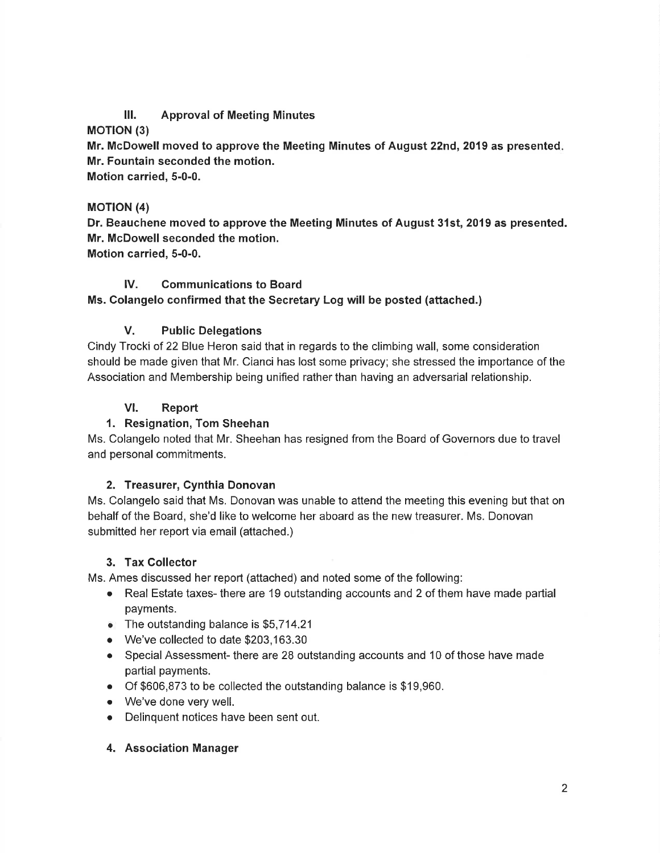# lll. Approval of Meeting Minutes

#### **MOTION (3)**

Mr. McDowell moved to approve the Meeting Minutes of August 22nd, 2019 as presented. Mr. Fountain seconded the motion.

Motion carried, 5-0-0.

#### MOTION (4)

Dr. Beauchene moved to approve the Meeting Minutes of August 31st, 2019 as presented. Mr. McDowell seconded the motion. Motion carried, 5-0-0.

# lV. Communications to Board

# Ms. Colangelo confirmed that the Secretary Log will be posted (attached.)

#### V. Public Delegations

Cindy Trocki of 22 Blue Heron said that in regards to the climbing wall, some consideration should be made given that Mr. Cianci has lost some privacy; she stressed the importance of the Association and Membership being unified rather than having an adversarial relationship.

#### VI. Report

# 1. Resignation, Tom Sheehan

Ms. Colangelo noted that Mr. Sheehan has resigned from the Board of Governors due to travel and personal commitments.

#### 2. Treasurer, Cynthia Donovan

Ms. Colangelo said that Ms. Donovan was unable to attend the meeting this evening but that on behalf of the Board, she'd like to welcome her aboard as the new treasurer. Ms. Donovan submitted her report via email (attached.)

#### 3. Tax Collector

Ms. Ames discussed her report (attached) and noted some of the following:

- Real Estate taxes- there are 19 outstanding accounts and 2 of them have made partial payments.
- $\bullet$  The outstanding balance is \$5,714.21
- o We've collected to date \$203,163.30
- o Special Assessment- there are 28 outstanding accounts and 10 of those have made partial payments.
- o Of \$606,873 to be collected the outstanding balance is \$19,960.
- o We've done very well.
- o Delinquent notices have been sent out.

#### 4. Association Manager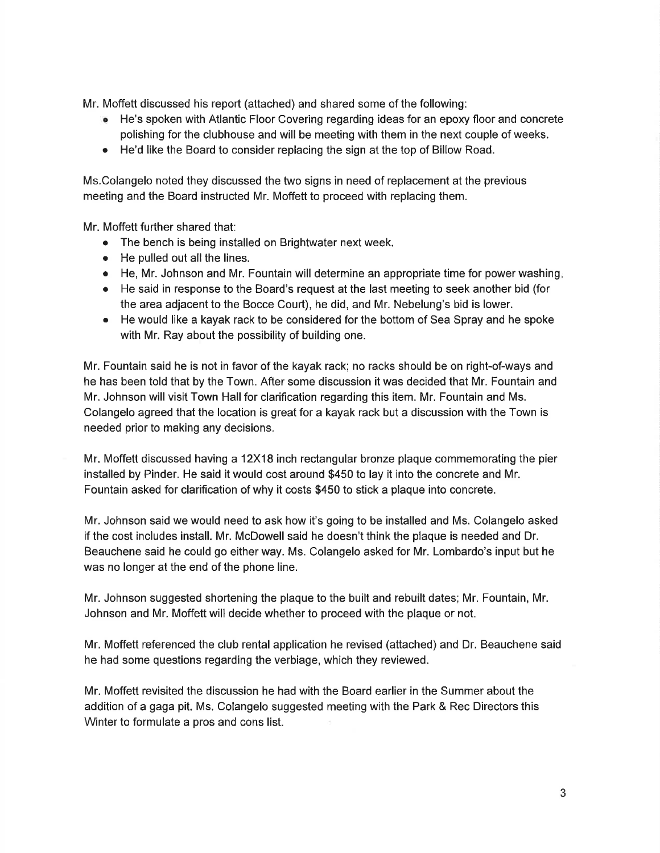Mr. Moffett discussed his report (attached) and shared some of the following:

- He's spoken with Atlantic Floor Covering regarding ideas for an epoxy floor and concrete polishing for the clubhouse and will be meeting with them in the next couple of weeks.
- He'd like the Board to consider replacing the sign at the top of Billow Road.

Ms.Colangelo noted they discussed the two signs in need of replacement at the previous meeting and the Board instructed Mr. Moffett to proceed with replacing them.

Mr. Moffett further shared that:

- The bench is being installed on Brightwater next week.
- $\bullet$  He pulled out all the lines.
- $\bullet$  He, Mr. Johnson and Mr. Fountain will determine an appropriate time for power washing.
- He said in response to the Board's request at the last meeting to seek another bid (for the area adjacent to the Bocce Court), he did, and Mr. Nebelung's bid is lower.
- He would like a kayak rack to be considered for the bottom of Sea Spray and he spoke with Mr. Ray about the possibility of building one.

Mr. Fountain said he is not in favor of the kayak rack; no racks should be on right-of-ways and he has been told that by the Town. After some discussion it was decided that Mr. Fountain and Mr. Johnson will visit Town Hall for clarification regarding this item. Mr. Fountain and Ms. Colangelo agreed that the location is great for a kayak rack but a discussion with the Town is needed prior to making any decisions.

Mr. Moffett discussed having a 12X18 inch rectangular bronze plaque commemorating the pier installed by Pinder. He said it would cost around \$450 to lay it into the concrete and Mr. Fountain asked for clarification of why it costs \$450 to stick a plaque into concrete.

Mr. Johnson said we would need to ask how it's going to be installed and Ms. Colangelo asked if the cost includes install. Mr. McDowell said he doesn't think the plaque is needed and Dr. Beauchene said he could go either way. Ms. Colangelo asked for Mr. Lombardo's input but he was no longer at the end of the phone line.

Mr. Johnson suggested shortening the plaque to the built and rebuilt dates; Mr. Fountain, Mr. Johnson and Mr. Moffett will decide whether to proceed with the plaque or not.

Mr. Moffett referenced the club rental application he revised (attached) and Dr. Beauchene said he had some questions regarding the verbiage, which they reviewed.

Mr. Moffett revisited the discussion he had with the Board earlier in the Summer about the addition of a gaga pit. Ms. Colangelo suggested meeting with the Park & Rec Directors this Winter to formulate a pros and cons list.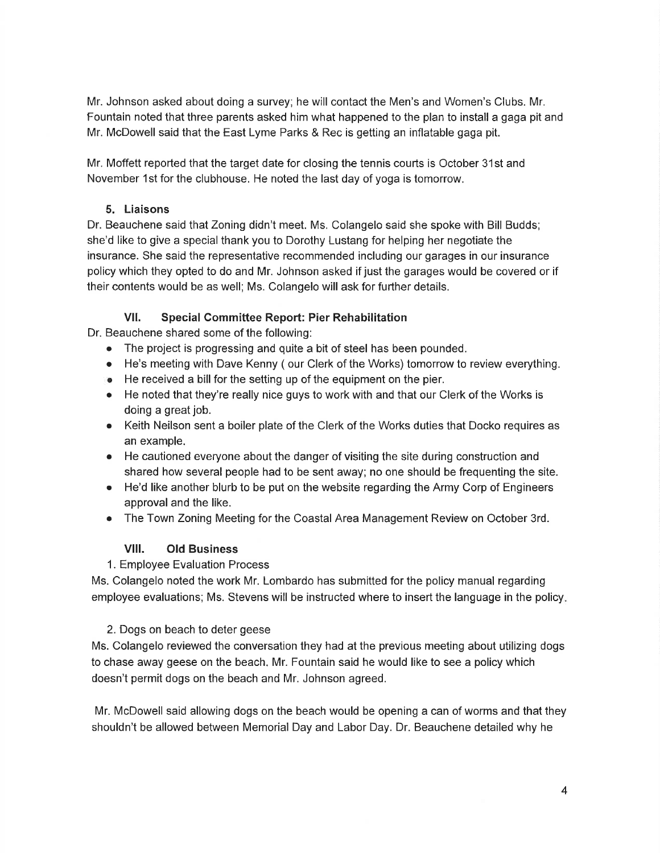Mr. Johnson asked about doing a survey; he will contact the Men's and Women's Clubs. Mr. Fountain noted that three parents asked him what happened to the plan to install a gaga pit and Mr. McDowell said that the East Lyme Parks & Rec is getting an inflatable gaga pit.

Mr, Moffett reported that the target date for closing the tennis courts is October 31st and November 1st for the clubhouse. He noted the last day of yoga is tomorrow.

#### 5. Liaisons

Dr. Beauchene said that Zoning didn't meet. Ms. Colangelo said she spoke with Bill Budds; she'd like to give a special thank you to Dorothy Lustang for helping her negotiate the insurance. She said the representative recommended including our garages in our insurance policy which they opted to do and Mr. Johnson asked if just the garages would be covered or if their contents would be as well; Ms. Colangelo will ask for further details.

#### Vll. Special Committee Report: Pier Rehabilitation

Dr. Beauchene shared some of the following:

- The project is progressing and quite a bit of steel has been pounded.
- o He's meeting with Dave Kenny ( our Clerk of the Works) tomorrow to review everything.
- o He received a bill for the setting up of the equipment on the pier.
- $\bullet$  He noted that they're really nice guys to work with and that our Clerk of the Works is doing a great job.
- o Keith Neilson sent a boiler plate of the Clerk of the Works duties that Docko requires as an example.
- o He cautioned everyone about the danger of visiting the site during construction and shared how several people had to be sent away; no one should be frequenting the site.
- He'd like another blurb to be put on the website regarding the Army Corp of Engineers approval and the like.
- o The Town Zoning Meeting for the Coastal Area Management Review on October 3rd.

#### Vlll. Old Business

#### 1. Employee Evaluation Process

Ms. Colangelo noted the work Mr. Lombardo has submitted for the policy manual regarding employee evaluations; Ms. Stevens will be instructed where to insert the language in the policy

#### 2. Dogs on beach to deter geese

Ms. Colangelo reviewed the conversation they had at the previous meeting about utilizing dogs to chase away geese on the beach. Mr. Fountain said he would like to see a policy which doesn't permit dogs on the beach and Mr. Johnson agreed.

Mr. McDowell said allowing dogs on the beach would be opening a can of worms and that they shouldn't be allowed between Memorial Day and Labor Day. Dr. Beauchene detailed why he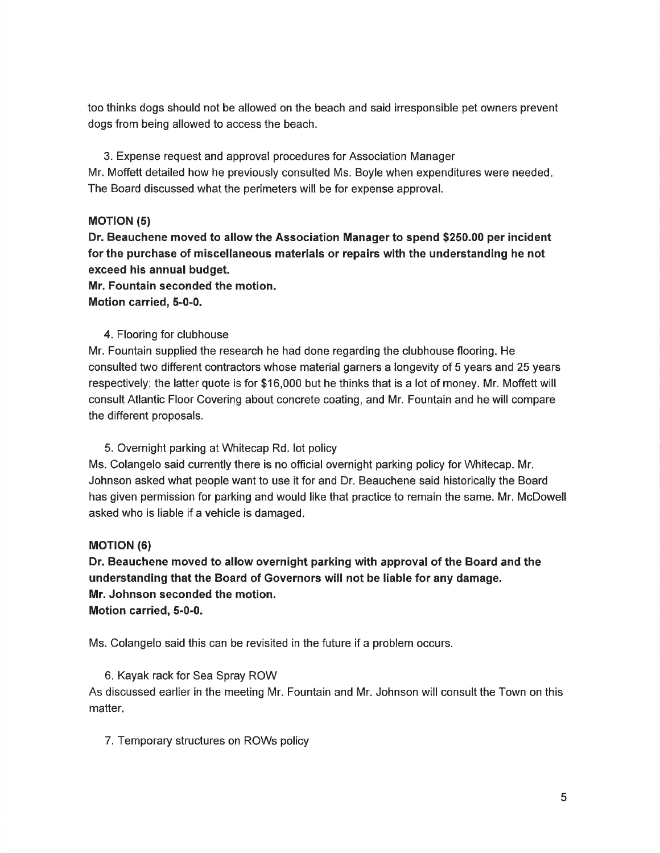too thinks dogs should not be allowed on the beach and said irresponsible pet owners prevent dogs from being allowed to access the beach.

3. Expense request and approval procedures for Association Manager Mr. Moffett detailed how he previously consulted Ms. Boyle when expenditures were needed The Board discussed what the perimeters will be for expense approval.

#### **MOTION (5)**

Dr. Beauchene moved to allow the Association Manager to spend \$250.00 per incident for the purchase of miscellaneous materials or repairs with the understanding he not exceed his annual budget.

Mr. Fountain seconded the motion. Motion carried, 5-0-0.

#### 4. Flooring for clubhouse

Mr. Fountain supplied the research he had done regarding the clubhouse flooring. He consulted two different contractors whose material garners a longevity of 5 years and 25 years respectively; the latter quote is for \$16,000 but he thinks that is a lot of money. Mr. Moffett will consult Atlantic Floor Covering about concrete coating, and Mr. Fountain and he will compare the different proposals.

#### 5. Overnight parking at Whitecap Rd. lot policy

Ms. Colangelo said currently there is no offlcial overnight parking policy for Whitecap. Mr. Johnson asked what people want to use it for and Dr. Beauchene said historically the Board has given permission for parking and would like that practice to remain the same. Mr. McDowell asked who is liable if a vehicle is damaged.

#### **MOTION (6)**

Dr. Beauchene moved to allow overnight parking with approval of the Board and the understanding that the Board of Governors will not be liable for any damage. Mr. Johnson seconded the motion. Motion carried, 5-0-0.

Ms. Colangelo said this can be revisited in the future if a problem occurs.

#### 6. Kayak rack for Sea Spray ROW

As discussed earlier in the meeting Mr. Fountain and Mr. Johnson will consult the Town on this matter.

7. Temporary structures on ROWs policy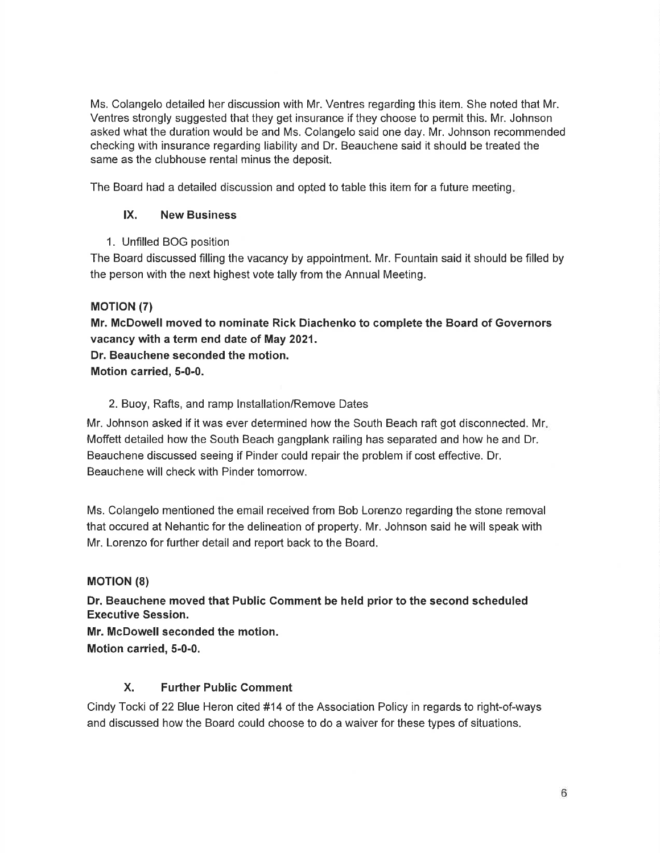Ms. Colangelo detailed her discussion with Mr. Ventres regarding this item. She noted that Mr. Ventres strongly suggested that they get insurance if they choose to permit this. Mr. Johnson asked what the duration would be and Ms. Colangelo said one day. Mr. Johnson recommended checking with insurance regarding liability and Dr. Beauchene said it should be treated the same as the clubhouse rental minus the deposit.

The Board had a detailed discussion and opted to table this item for a future meeting

#### lX. New Business

1. Unfilled BOG position

The Board discussed filling the vacancy by appointment. Mr. Fountain said it should be filled by the person with the next highest vote tally from the Annual Meeting.

#### **MOTION (7)**

Mr. McDowell moved to nominate Rick Diachenko to complete the Board of Governors vacancy with a term end date of May 2021.

Dr. Beauchene seconded the motion.

#### Motion carried, 5-0-0.

#### 2. Buoy, Rafts, and ramp lnstallation/Remove Dates

Mr. Johnson asked if it was ever determined how the South Beach raft got disconnected. Mr Moffett detailed how the South Beach gangplank railing has separated and how he and Dr. Beauchene discussed seeing if Pinder could repair the problem if cost effective. Dr, Beauchene will check with Pinder tomorrow.

Ms. Colangelo mentioned the email received from Bob Lorenzo regarding the stone removal that occured at Nehantic for the delineation of property. Mr. Johnson said he will speak with Mr. Lorenzo for further detail and report back to the Board.

#### **MOTION (8)**

Dr. Beauchene moved that Public Gomment be held prior to the second scheduled Executive Session.

Mr. McDowell seconded the motion.

# Motion carried, 5-0-0.

# X. Further Public Comment

Cindy Tocki of 22 Blue Heron cited #14 of the Association Policy in regards to right-of-ways and discussed how the Board could choose to do a waiver for these types of situations.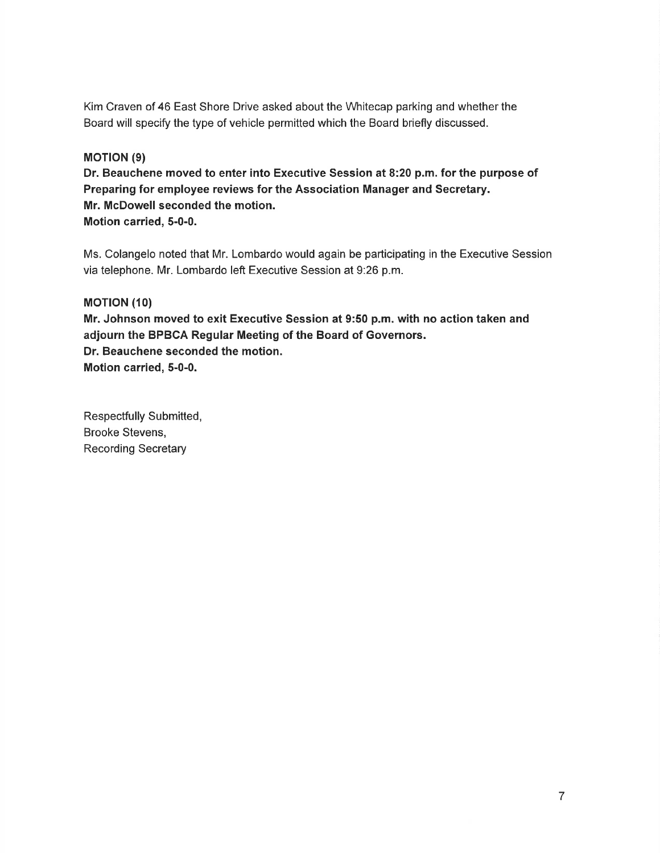Kim Craven of 46 East Shore Drive asked about the Whitecap parking and whether the Board will specify the type of vehicle permitted which the Board briefly discussed.

#### **MOTION (9)**

Dr. Beauchene moved to enter into Executive Session at 8:20 p.m. for the purpose of Preparing for employee reviews for the Association Manager and Secretary. Mr. McDowell seconded the motion. Motion carried, 5-0-0.

Ms. Colangelo noted that Mr. Lombardo would again be participating in the Executive Session via telephone. Mr. Lombardo left Executive Session at 9:26 p.m.

#### **MOTION (10)**

Mr. Johnson moved to exit Executive Session at 9:50 p.m. with no action taken and adjourn the BPBCA Regular Meeting of the Board of Governors. Dr. Beauchene seconded the motion. Motion carried, 5-0-0.

Respectfully Submitted, Brooke Stevens, Recording Secretary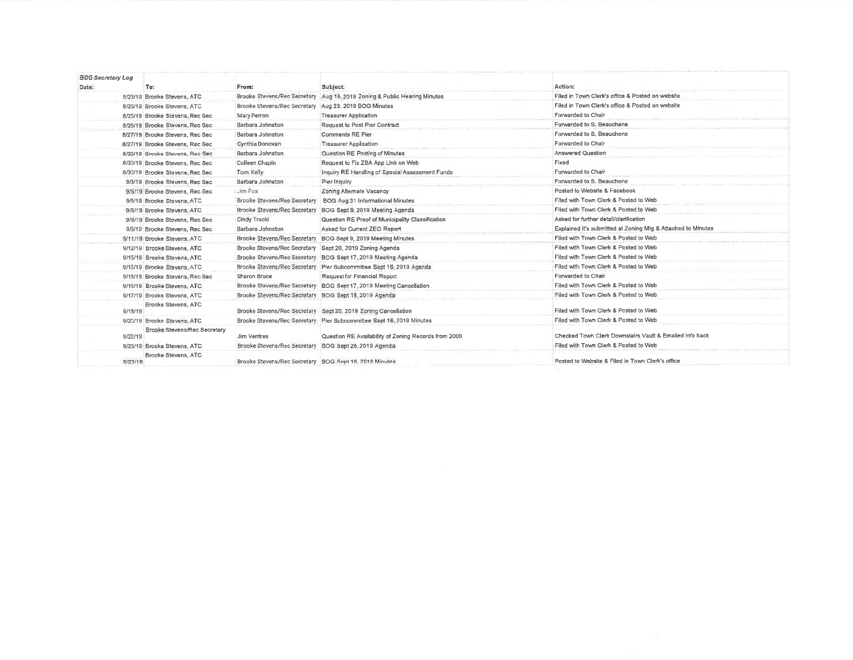| <b>BOG Secretary Log</b> |                                  |                                                          |                                                                      |                                                              |
|--------------------------|----------------------------------|----------------------------------------------------------|----------------------------------------------------------------------|--------------------------------------------------------------|
| Date:                    | To:                              | From:                                                    | Subject:                                                             | Action:                                                      |
|                          | 8/23/19 Brooke Stevens, ATC      | Brooke Stevens/Reo Secretary                             | Aug 15, 2019 Zoning & Public Hearing Minutes                         | Filed in Town Clerk's office & Posted on website             |
|                          | 8/29/19 Brooke Stevens, ATC      | Brooke Stevens/Rec Secretary Aug 23, 2019 BOG Minutes    |                                                                      | Filed in Town Clerk's office & Posted on website             |
|                          | 8/25/19 Brooke Stevens, Rec Sec  | Mary Perron                                              | <b>Treasurer Application</b>                                         | Forwarded to Chair                                           |
|                          | 6/26/19 Brooke Stevens, Rec Sec. | Barbara Johnston                                         | Request to Post Pier Contract                                        | Forwarded to S. Beauchene                                    |
|                          | 8/27/19 Brooke Stevens, Rec Sec  | Barbara Johnston                                         | <b>Comments RE Pier</b>                                              | Forwarded to S. Beauchene                                    |
|                          | 8/27/19 Brooke Stevens, Rec Sec  | Cynthia Donovan                                          | <b>Treasurer Application</b>                                         | Forwarded to Chair                                           |
|                          | 8/29/19 Brooke Stevens, Rec Sec. | Barbara Johnston                                         | Question RE Posting of Minutes                                       | <b>Answered Question</b>                                     |
|                          | 8/30/19 Brooke Stevens, Rec Sec. | Colleen Chapin                                           | Request to Fix ZBA App Link on Web                                   | Fixed                                                        |
|                          | 8/30/19 Brooke Stevens, Rec Sec  | Tom Kelly                                                | Inquiry RE Handling of Special Assessment Funds                      | Forwarded to Chair                                           |
|                          | 9/3/19 Brooke Stevens, Rec Sec.  | Barbara Johnston                                         | Pier Inquiry                                                         | Forwarded to S. Beauchene                                    |
|                          | 9/5/19 Brooke Stevens, Rec Sec   | : Jim Fox                                                | Zoning Alternate Vacancy                                             | Posted to Website & Facebook                                 |
|                          | 9/6/19 Brooke Stevens, ATC       | Brooke Stevens/Rec Secretary                             | BOG Aug 31 Informational Minutes                                     | Filed with Town Clerk & Posted to Web                        |
|                          | 9/6/19 Brooke Stevens, ATC       | Brooke Stevens/Rec Secretary                             | BOG Sept 9, 2019 Meeting Agenda                                      | Filed with Town Clerk & Posted to Web                        |
|                          | 9/9/19 Brooke Stevens, Rec Sec   | Cindy Trocki                                             | Question RE Proof of Municipality Classification                     | Asked for further detail/clarification                       |
|                          | 9/9/19 Brooke Stevens, Rec Sec   | Barbara Johnston                                         | Asked for Current ZEO Report                                         | Explained it's submitted at Zoning Mtg & Attached to Minutes |
|                          | 9/11/19 Brooke Slevens, ATC      | Brooke Stevens/Rec Secretary                             | BOG Sept 9, 2019 Meeting Minutes                                     | Filed with Town Clerk & Posted to Web                        |
|                          | 9/12/19 Brooke Stevens, ATC      | Brooke Stevens/Rec Secretary Sept 20, 2019 Zoning Agenda |                                                                      | Filed with Town Clerk & Posted to Web                        |
|                          | 9/15/19 Brooke Stevens, ATC      |                                                          | Brooke Stevens/Rec Secretary BOG Sept 17, 2019 Meeting Agenda        | Filed with Town Clerk & Posted to Web                        |
|                          | 9/15/19 Brooke Stevens, ATC      |                                                          | Brooke Stevens/Rec Secretary Pier Subcommittee Sept 16, 2019 Agenda  | Filed with Town Clerk & Posted to Web                        |
|                          | 9/16/19 Brooke Stevens, Rec Sec. | Sharon Bruce                                             | Request for Financial Report                                         | Forwarded to Chair                                           |
|                          | 9/16/19 Brooke Stevens, ATC      | Brooke Stevens/Rec Secretary                             | BOG Sept 17, 2019 Meeting Cancellation                               | Filed with Town Clerk & Posted to Web                        |
|                          | 9/17/19 Brooke Stevens, ATC      | Brooke Stevens/Rec Secretary BOG Sept 18, 2019 Agenda    |                                                                      | Filed with Town Clerk & Posted to Web                        |
| 9/18/19                  | Brooke Stevens, ATC              |                                                          | Brooke Stevens/Rec Secretary Sept 20, 2019 Zoning Cancellation       | Filed with Town Clerk & Posted to Web                        |
|                          | 9/20/19 Brooke Stevens, ATC      |                                                          | Brooke Stevens/Rec Secretary Pier Subcommittee Sept 15, 2019 Minutes | Filed with Town Clerk & Posted to Web                        |
| 9/22/19                  | Brooke Stevens/Rec Secretary     | Jim Ventres                                              | Question RE Availability of Zoning Records from 2000                 | Checked Town Clerk Downstairs Vault & Emailed info back      |
|                          | 9/23/19 Brooke Stevens, ATC      | Brooke Stevens/Rec Secretary                             | BOG Sept 26, 2019 Agenda                                             | Filed with Town Clerk & Posted to Web                        |
| 9/23/19                  | Brooke Stevens, ATC              | Brooke Stevens/Rec Secretary BOG Sept 18, 2019 Minutes   |                                                                      | Posted to Website & Filed in Town Clerk's office             |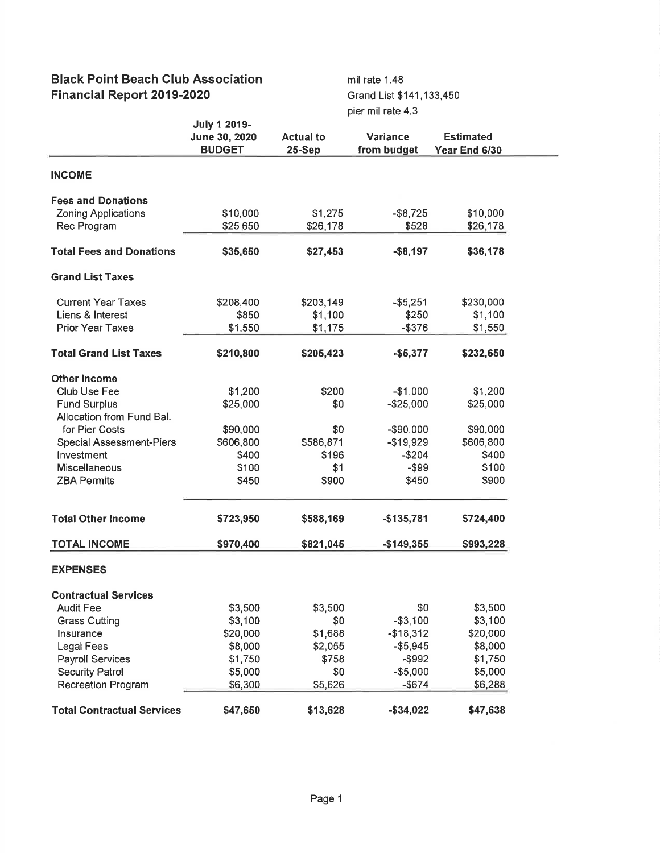# Black Point Beach Glub Association Financial Report 2019-2020

mil rate 1.48 Grand List \$141,133,450 pier mil rate 4.3

|                                   | <b>July 1 2019-</b><br>June 30, 2020<br><b>BUDGET</b> | <b>Actual to</b><br>$25-Sep$ | Variance<br>from budget | <b>Estimated</b><br>Year End 6/30 |
|-----------------------------------|-------------------------------------------------------|------------------------------|-------------------------|-----------------------------------|
| <b>INCOME</b>                     |                                                       |                              |                         |                                   |
| <b>Fees and Donations</b>         |                                                       |                              |                         |                                   |
| <b>Zoning Applications</b>        | \$10,000                                              | \$1,275                      | $-$ \$8,725             | \$10,000                          |
| Rec Program                       | \$25,650                                              | \$26,178                     | \$528                   | \$26,178                          |
|                                   |                                                       |                              |                         |                                   |
| <b>Total Fees and Donations</b>   | \$35,650                                              | \$27,453                     | $-$ \$8,197             | \$36,178                          |
| <b>Grand List Taxes</b>           |                                                       |                              |                         |                                   |
| <b>Current Year Taxes</b>         | \$208,400                                             | \$203,149                    | $- $5,251$              | \$230,000                         |
| Liens & Interest                  | \$850                                                 | \$1,100                      | \$250                   | \$1,100                           |
| <b>Prior Year Taxes</b>           | \$1,550                                               | \$1,175                      | $-$ \$376               | \$1,550                           |
| <b>Total Grand List Taxes</b>     | \$210,800                                             | \$205,423                    | $-$5,377$               | \$232,650                         |
| <b>Other Income</b>               |                                                       |                              |                         |                                   |
| Club Use Fee                      | \$1,200                                               | \$200                        | $-$1,000$               | \$1,200                           |
| <b>Fund Surplus</b>               | \$25,000                                              | \$0                          | $-$25,000$              | \$25,000                          |
| Allocation from Fund Bal.         |                                                       |                              |                         |                                   |
| for Pier Costs                    | \$90,000                                              | \$0                          | -\$90,000               | \$90,000                          |
| <b>Special Assessment-Piers</b>   | \$606,800                                             | \$586,871                    | $-$19,929$              | \$606,800                         |
| Investment                        | \$400                                                 | \$196                        | $-$204$                 | \$400                             |
| <b>Miscellaneous</b>              | \$100                                                 | \$1                          | $-$ \$99                | \$100                             |
| <b>ZBA Permits</b>                | \$450                                                 | \$900                        | \$450                   | \$900                             |
| <b>Total Other Income</b>         | \$723,950                                             | \$588,169                    | $-$135,781$             | \$724,400                         |
| <b>TOTAL INCOME</b>               | \$970,400                                             | \$821,045                    | $-$149,355$             | \$993,228                         |
| <b>EXPENSES</b>                   |                                                       |                              |                         |                                   |
| <b>Contractual Services</b>       |                                                       |                              |                         |                                   |
| <b>Audit Fee</b>                  | \$3,500                                               | \$3,500                      | \$0                     | \$3,500                           |
| <b>Grass Cutting</b>              | \$3,100                                               | \$0                          | $- $3,100$              | \$3,100                           |
| Insurance                         | \$20,000                                              | \$1,688                      | $-$18,312$              | \$20,000                          |
| <b>Legal Fees</b>                 | \$8,000                                               | \$2,055                      | $- $5,945$              | \$8,000                           |
| <b>Payroll Services</b>           | \$1,750                                               | \$758                        | $-$ \$992               | \$1,750                           |
| <b>Security Patrol</b>            | \$5,000                                               | \$0                          | $-$5,000$               | \$5,000                           |
| <b>Recreation Program</b>         | \$6,300                                               | \$5,626                      | $-$ \$674               | \$6,288                           |
| <b>Total Contractual Services</b> | \$47,650                                              | \$13,628                     | $-$ \$34,022            | \$47,638                          |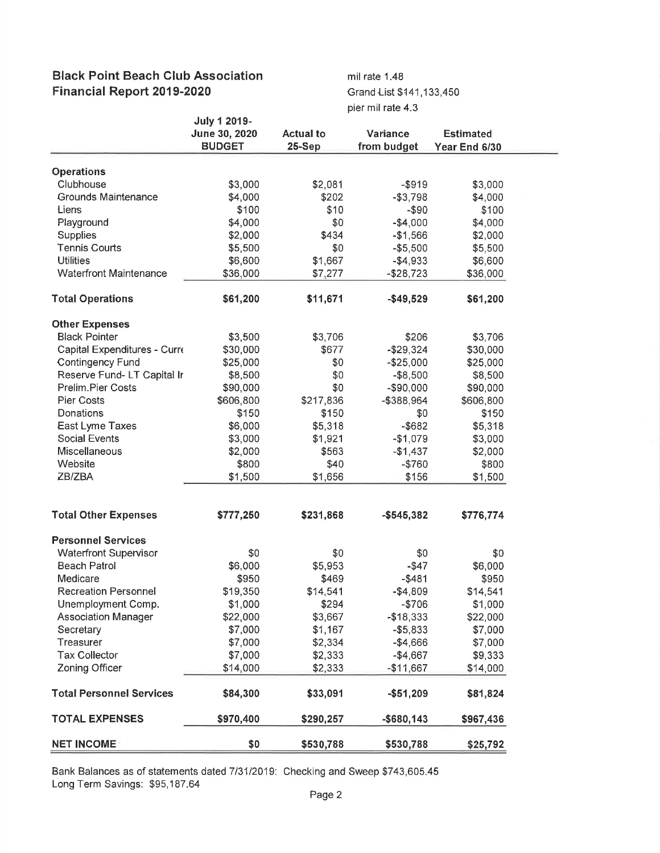# Black Point Beach Club Association Financial Report 2019-2020

mil rate 1.48 Grand List \$141,133,450 pier mil rate 4.3

|                                 | <b>July 1 2019-</b> |                  |               |                  |
|---------------------------------|---------------------|------------------|---------------|------------------|
|                                 | June 30, 2020       | <b>Actual to</b> | Variance      | <b>Estimated</b> |
|                                 | <b>BUDGET</b>       | 25-Sep           | from budget   | Year End 6/30    |
| <b>Operations</b>               |                     |                  |               |                  |
| Clubhouse                       | \$3,000             | \$2,081          | $-$ \$919     | \$3,000          |
| Grounds Maintenance             | \$4,000             | \$202            | $- $3,798$    | \$4,000          |
| Liens                           | \$100               | \$10             | $-$ \$90      | \$100            |
|                                 |                     | \$0              |               |                  |
| Playground                      | \$4,000             |                  | $-$4,000$     | \$4,000          |
| <b>Supplies</b>                 | \$2,000             | \$434            | $-$1,566$     | \$2,000          |
| <b>Tennis Courts</b>            | \$5,500             | \$0              | $-$5,500$     | \$5,500          |
| <b>Utilities</b>                | \$6,600             | \$1,667          | $-$4,933$     | \$6,600          |
| <b>Waterfront Maintenance</b>   | \$36,000            | \$7,277          | $-$28,723$    | \$36,000         |
| <b>Total Operations</b>         | \$61,200            | \$11,671         | $-$49,529$    | \$61,200         |
| <b>Other Expenses</b>           |                     |                  |               |                  |
| <b>Black Pointer</b>            | \$3,500             | \$3,706          | \$206         | \$3,706          |
| Capital Expenditures - Curre    | \$30,000            | \$677            | $-$29,324$    | \$30,000         |
| <b>Contingency Fund</b>         | \$25,000            | \$0              | $-$25,000$    | \$25,000         |
| Reserve Fund-LT Capital Ir      | \$8,500             | \$0              | $-$8,500$     | \$8,500          |
| <b>Prelim.Pier Costs</b>        | \$90,000            | \$0              | $-$90,000$    | \$90,000         |
| <b>Pier Costs</b>               | \$606,800           | \$217,836        | -\$388,964    |                  |
|                                 |                     |                  |               | \$606,800        |
| Donations                       | \$150               | \$150            | \$0           | \$150            |
| East Lyme Taxes                 | \$6,000             | \$5,318          | $-$ \$682     | \$5,318          |
| <b>Social Events</b>            | \$3,000             | \$1,921          | $-$1,079$     | \$3,000          |
| Miscellaneous                   | \$2,000             | \$563            | $-$1,437$     | \$2,000          |
| Website                         | \$800               | \$40             | $-$760$       | \$800            |
| ZB/ZBA                          | \$1,500             | \$1,656          | \$156         | \$1,500          |
| <b>Total Other Expenses</b>     | \$777,250           | \$231,868        | $-$545,382$   | \$776,774        |
| <b>Personnel Services</b>       |                     |                  |               |                  |
| <b>Waterfront Supervisor</b>    | \$0                 | \$0              | \$0           | \$0              |
| <b>Beach Patrol</b>             | \$6,000             | \$5,953          | $-$ \$47      | \$6,000          |
| Medicare                        | \$950               | \$469            | $-$ \$481     | \$950            |
|                                 |                     | \$14,541         |               |                  |
| <b>Recreation Personnel</b>     | \$19,350            |                  | $-$4,809$     | \$14,541         |
| Unemployment Comp.              | \$1,000             | \$294            | $-$706$       | \$1,000          |
| <b>Association Manager</b>      | \$22,000            | \$3,667          | $-$18,333$    | \$22,000         |
| Secretary                       | \$7,000             | \$1,167          | $- $5,833$    | \$7,000          |
| Treasurer                       | \$7,000             | \$2,334          | $-$4,666$     | \$7,000          |
| <b>Tax Collector</b>            | \$7,000             | \$2,333          | $-$4,667$     | \$9,333          |
| Zoning Officer                  | \$14,000            | \$2,333          | $-$11,667$    | \$14,000         |
| <b>Total Personnel Services</b> | \$84,300            | \$33,091         | $- $51,209$   | \$81,824         |
| <b>TOTAL EXPENSES</b>           | \$970,400           | \$290,257        | $-$ \$680,143 | \$967,436        |
| <b>NET INCOME</b>               | \$0                 | \$530,788        | \$530,788     | \$25,792         |

Bank Balances as of statements dated 7/31/2019: Checking and Sweep \$743,605.45 Long Term Savings: \$95,187.64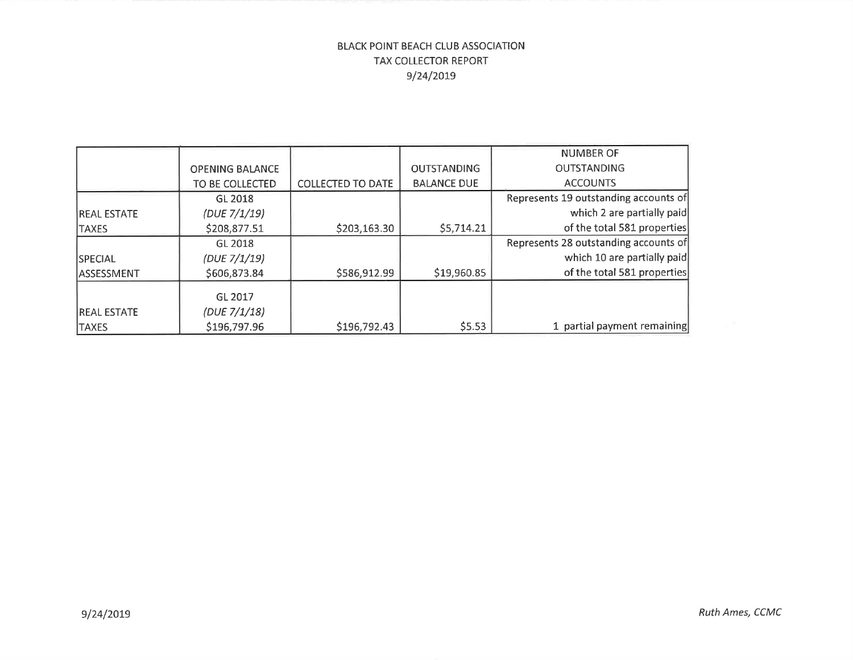# BLACK POINT BEACH CLUB ASSOCIATION TAX COLLECTOR REPORT e/24/207s

|                    |                        |                          |                    | <b>NUMBER OF</b>                      |
|--------------------|------------------------|--------------------------|--------------------|---------------------------------------|
|                    | <b>OPENING BALANCE</b> |                          | <b>OUTSTANDING</b> | <b>OUTSTANDING</b>                    |
|                    | TO BE COLLECTED        | <b>COLLECTED TO DATE</b> | <b>BALANCE DUE</b> | <b>ACCOUNTS</b>                       |
|                    | GL 2018                |                          |                    | Represents 19 outstanding accounts of |
| <b>REAL ESTATE</b> | (DUE 7/1/19)           |                          |                    | which 2 are partially paid            |
| <b>TAXES</b>       | \$208,877.51           | \$203,163.30             | \$5,714.21         | of the total 581 properties           |
|                    | GL 2018                |                          |                    | Represents 28 outstanding accounts of |
| <b>SPECIAL</b>     | (DUE 7/1/19)           |                          |                    | which 10 are partially paid           |
| <b>ASSESSMENT</b>  | \$606,873.84           | \$586,912.99             | \$19,960.85        | of the total 581 properties           |
|                    | GL 2017                |                          |                    |                                       |
| <b>REAL ESTATE</b> | (DUE 7/1/18)           |                          |                    |                                       |
| <b>TAXES</b>       | \$196,797.96           | \$196,792.43             | \$5.53             | 1 partial payment remaining           |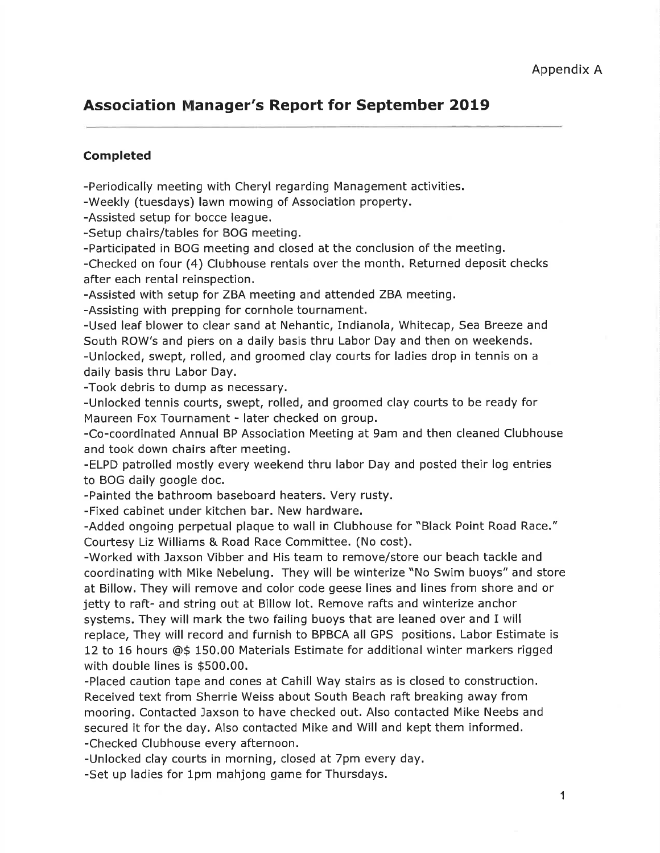# Association Manager's Report for September 2O19

# Completed

-Periodically meeting with Cheryl regarding Management activities.

-Weekly (tuesdays) lawn mowing of Association property.

-Assisted setup for bocce league.

-Setup chairs/tables for BOG meeting.

-Participated in BOG meeting and closed at the conclusion of the meeting.

-Checked on four (4) Clubhouse rentals over the month. Returned deposit checks after each rental reinspection.

-Assisted with setup for ZBA meeting and attended ZBA meeting.

-Assisting with prepping for cornhole tournament.

-Used leaf blower to clear sand at Nehantic, Indianola, Whitecap, Sea Breeze and South ROW's and piers on a daily basis thru Labor Day and then on weekends. -Unlocked, swept, rolled, and groomed clay courts for ladies drop in tennis on a daily basis thru Labor Day.

-Took debris to dump as necessary.

-Unlocked tennis courts, swept, rolled, and groomed clay courts to be ready for Maureen Fox Tournament - later checked on group.

-Co-coordinated Annual BP Association Meeting at 9am and then cleaned Clubhouse and took down chairs after meeting.

-ELPD patrolled mostly every weekend thru labor Day and posted their log entries to BOG daily google doc.

-Painted the bathroom baseboard heaters. Very rusty.

-Fixed cabinet under kitchen bar. New hardware.

-Added ongoing perpetual plaque to wall in Clubhouse for "Black Point Road Race." Courtesy Liz Williams & Road Race Committee. (No cost).

-Worked with Jaxson Vibber and His team to remove/store our beach tackle and coordinating with Mike Nebelung. They will be winterize "No Swim buoys" and store at Billow. They will remove and color code geese lines and lines from shore and or jetty to raft- and string out at Billow lot. Remove rafts and winterize anchor systems. They will mark the two failing buoys that are leaned over and I will replace, They will record and furnish to BPBCA all GPS positions. Labor Estimate is 12 to 16 hours @\$ 150.00 Materials Estimate for additional winter markers rigged with double lines is \$500.00.

-Placed caution tape and cones at Cahill Way stairs as is closed to construction. Received text from Sherrie Weiss about South Beach raft breaking away from mooring. Contacted Jaxson to have checked out. Also contacted Mike Neebs and secured it for the day, Also contacted Mike and Will and kept them informed. -Checked Clubhouse every afternoon.

-Unlocked clay courts in morning, closed at 7pm every day.

-Set up ladies for lpm mahjong game for Thursdays.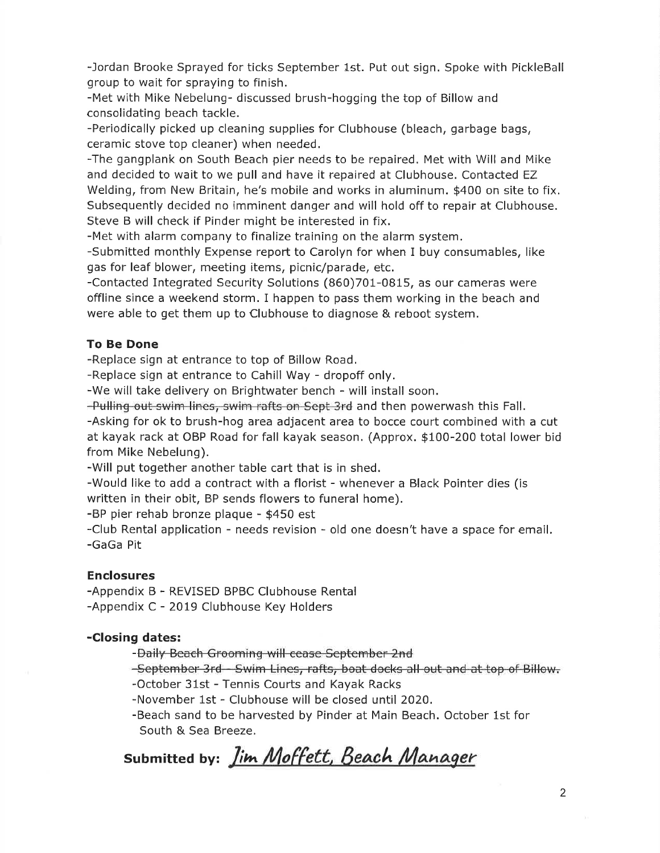-Jordan Brooke Sprayed for ticks September Lst. Put out sign, Spoke with PickleBall group to wait for spraying to finish.

-Met with Mike Nebelung- discussed brush-hogging the top of Billow and consolidating beach tackle.

-Periodically picked up cleaning supplies for Clubhouse (bleach, garbage bags, ceramic stove top cleaner) when needed,

-The gangplank on South Beach pier needs to be repaired. Met with Will and Mike and decided to wait to we pull and have it repaired at Clubhouse, Contacted EZ Welding, from New Britain, he's mobile and works in aluminum. \$400 on site to fix. Subsequently decided no imminent danger and will hold off to repair at Clubhouse. Steve B will check if Pinder might be interested in fix.

-Met with alarm company to finalize training on the alarm system.

-Submitted monthly Expense report to Carolyn for when I buy consumables, like gas for leaf blower, meeting items, picnic/parade, etc.

-Contacted Integrated Security Solutions (860)701-0815, as our cameras were offline since a weekend storm. I happen to pass them working in the beach and were able to get them up to Clubhouse to diagnose & reboot system.

# To Be Done

-Replace sign at entrance to top of Billow Road.

-Replace sign at entrance to Cahill Way - dropoff only.

-We will take delivery on Brightwater bench - will install soon.

-Pulling out swim lines, swim rafts on Sept 3rd and then powerwash this Fall.

-Asking for ok to brush-hog area adjacent area to bocce court combined with a cut at kayak rack at OBP Road for fall kayak season. (Approx. \$100-200 total lower bid from Mike Nebelung).

-Will put together another table cart that is in shed.

-Would like to add a contract with a florist - whenever a Black Pointer dies (is written in their obit, BP sends flowers to funeral home).

-BP pier rehab bronze plaque - \$450 est

-Club Rental application - needs revision - old one doesn't have a space foremail. -GaGa Pit

# Enclosures

-Appendix B - REVISED BPBC Clubhouse Rental -Appendix C - 2019 Clubhouse Key Holders

# -Closing dates:

-Daily Beaeh Groeming will eease September 2nd

-September 3rd - Swim Lines, rafts, boat docks all out and at top of Billow.

-October 31st - Tennis Courts and Kayak Racks

-November lst - Clubhouse will be closed until 2020.

-Beach sand to be harvested by Pinder at Main Beach. October 1st for South & Sea Breeze,

Submitted by: *Jim Moffett, Beach* '^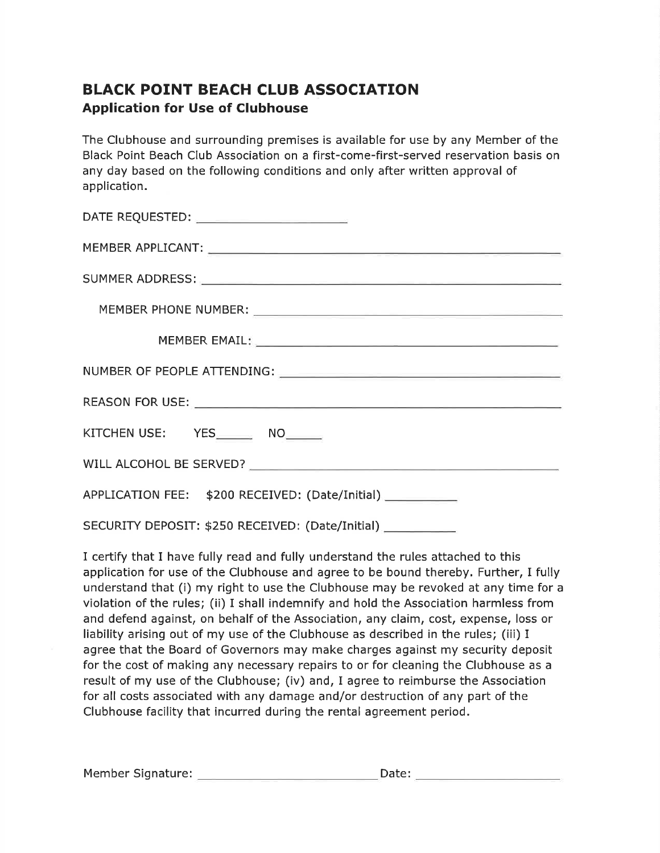# BLACK POINT BEACH CLUB ASSOCIATION Application for Use of Clubhouse

The Clubhouse and surrounding premises is available for use by any Member of the Black Point Beach Club Association on a first-come-first-served reservation basis on any day based on the following conditions and only after written approval of application.

| KITCHEN USE: YES________ NO______               |  |  |  |  |
|-------------------------------------------------|--|--|--|--|
|                                                 |  |  |  |  |
| APPLICATION FEE: \$200 RECEIVED: (Date/Initial) |  |  |  |  |
|                                                 |  |  |  |  |

SECURITY DEPOSIT: \$250 RECEIVED: (Date/Initial)

I certify that I have fully read and fully understand the rules attached to this application for use of the Clubhouse and agree to be bound thereby. Further, I fully understand that (i) my right to use the Clubhouse may be revoked at any time for <sup>a</sup> violation of the rules; (ii) I shall indemnify and hold the Association harmless from and defend against, on behalf of the Association, any claim, cost, expense, loss or liability arising out of my use of the Clubhouse as described in the rules; (iii) I agree that the Board of Governors may make charges against my security deposit for the cost of making any necessary repairs to or for cleaning the Clubhouse as a result of my use of the Clubhouse; (iv) and, I agree to reimburse the Association for all costs associated with any damage and/or destruction of any part of the Clubhouse facility that incurred during the rental agreement period.

| Member Signature: | Date: |  |
|-------------------|-------|--|
|                   |       |  |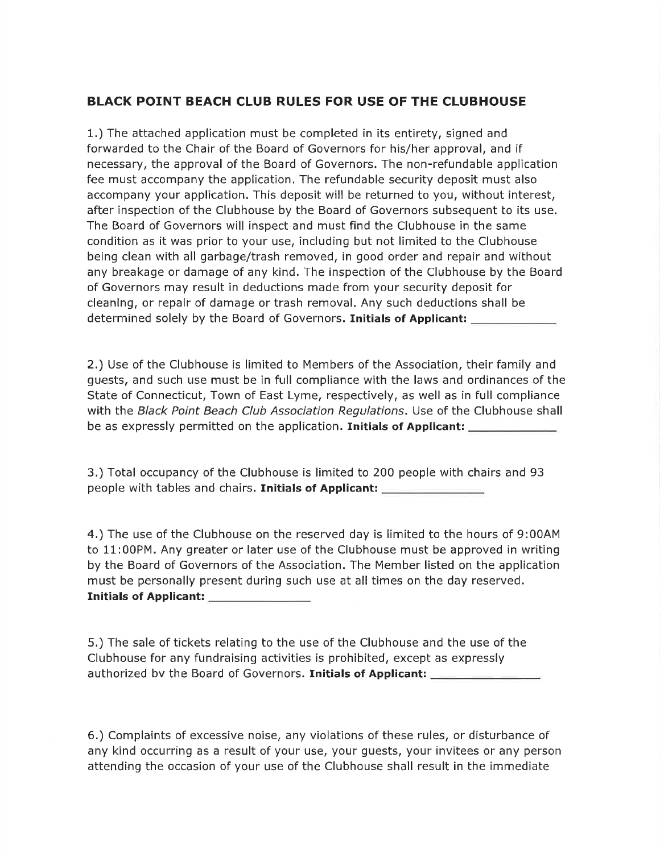# BLACK POINT BEACH CLUB RULES FOR USE OF THE CLUBHOUSE

1.) The attached application must be completed in its entirety, signed and forwarded to the Chair of the Board of Governors for his/her approval, and if necessary, the approval of the Board of Governors. The non-refundable application fee must accompany the application. The refundable security deposit must also accompany your application. This deposit will be returned to you, without interest, after inspection of the Clubhouse by the Board of Governors subsequent to its use. The Board of Governors will inspect and must find the Clubhouse in the same condition as it was prior to your use, including but not limited to the Clubhouse being clean with all garbage/trash removed, in good order and repair and without any breakage or damage of any kind. The inspection of the Clubhouse by the Board of Governors may result in deductions made from your security deposit for cleaning, or repair of damage or trash removal. Any such deductions shall be determined solely by the Board of Governors. Initials of Applicant:

2.) Use of the Clubhouse is limited to Members of the Association, their family and guests, and such use must be in full compliance with the laws and ordinances of the State of Connecticut, Town of East Lyme, respectively, as well as in full compliance with the Black Point Beach Club Association Regulations. Use of the Clubhouse shall be as expressly permitted on the application. Initials of Applicant:

3.) Total occupancy of the Clubhouse is limited to 200 people with chairs and 93 people with tables and chairs. Initials of Applicant:

4.) The use of the Clubhouse on the reserved day is limited to the hours of 9:00AM to 11:00PM. Any greater or later use of the Clubhouse must be approved in writing by the Board of Governors of the Association. The Member listed on the application must be personally present during such use at all times on the day reserved. Initials of Applicant:

5.) The sale of tickets relating to the use of the Clubhouse and the use of the Clubhouse for any fundraising activities is prohibited, except as expressly authorized by the Board of Governors. Initials of Applicant:

6.) Complaints of excessive noise, any violations of these rules, or disturbance of any kind occurring as a result of your use, your guests, your invitees or any person attending the occasion of your use of the Clubhouse shall result in the immediate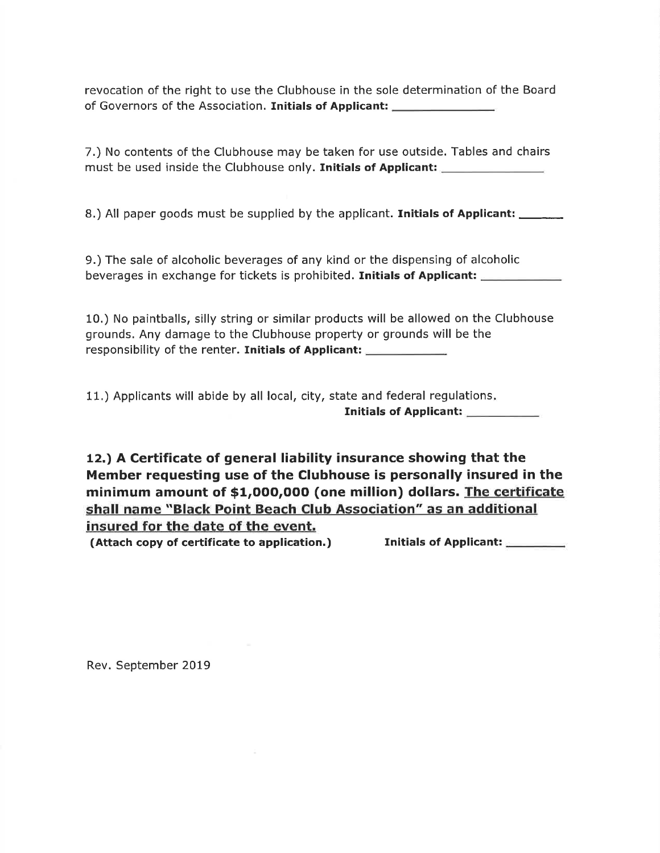revocation of the right to use the Clubhouse in the sole determination of the Board of Governors of the Association. Initials of Applicant:

7.) No contents of the Clubhouse may be taken for use outside. Tables and chairs must be used inside the Clubhouse only. Initials of Applicant:

8.) All paper goods must be supplied by the applicant. **Initials of Applicant:**  $\frac{1}{\sqrt{1-\frac{1}{\sqrt{1-\frac{1}{\sqrt{1-\frac{1}{\sqrt{1-\frac{1}{\sqrt{1-\frac{1}{\sqrt{1-\frac{1}{\sqrt{1-\frac{1}{\sqrt{1-\frac{1}{\sqrt{1-\frac{1}{\sqrt{1-\frac{1}{\sqrt{1-\frac{1}{\sqrt{1-\frac{1}{\sqrt{1-\frac{1}{\sqrt{1-\frac{1}{\sqrt{1-\frac{1}{$ 

9.) The sale of alcoholic beverages of any kind or the dispensing of alcoholicbeverages in exchange for tickets is prohibited. Initials of Applicant:

10.) No paintballs, silly string or similar products will be allowed on the Clubhouse grounds. Any damage to the Clubhouse property or grounds will be the responsibility of the renter. Initials of Applicant:

11.) Applicants will abide by all local, city, state and federal regulations Initials of Applicant:

12.) A Certificate of general liability insurance showing that the Member requesting use of the Clubhouse is personally insured in the minimum amount of \$1,000,000 (one million) dollars. The certificate shall name "Black Point Beach Club Association" as an additional insured for the date of the event.

(Attach copy of certificate to application.) Initials of Applicant:

Rev. September 2019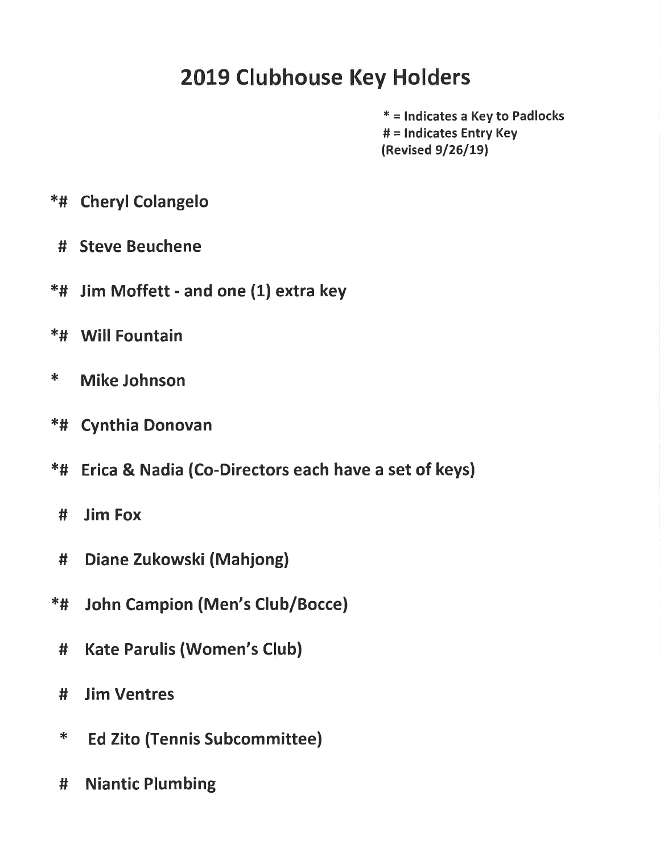# 2019 Clubhouse Key Holders

\* = lndicates a Key to Padlocks # = lndicates Entry Key (Revised 9/26/19)

- \*# Cheryl Colangelo
	- # Steve Beuchene
- \*# Jim Moffett and one (1) extra key
- \*# Will Fountain
- \* Mike Johnson
- \*# Cynthia Donovan
- \*# Erica & Nadia (Co-Directors each have a set of keys)
- # Jim Fox
- # Diane Zukowski (Mahjone)
- {€# John Campion (Men's Club/Bocce)
	- # Kate Parulis (Women's Club)
	- # Jim Ventres
	- \* Ed Zito (Tennis Subcommittee)
	- # Niantic Plumbing